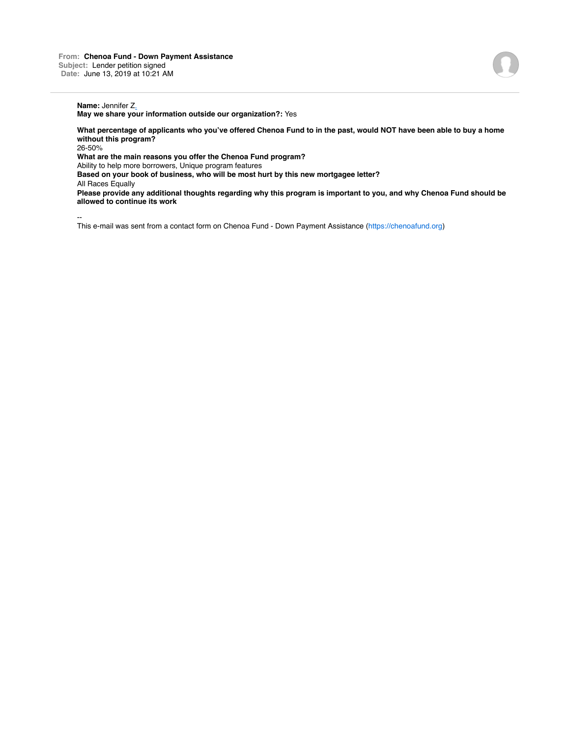# **Name:** Jennifer Z.

**May we share your information outside our organization?:** Yes

**What percentage of applicants who you've offered Chenoa Fund to in the past, would NOT have been able to buy a home without this program?** 26-50%

**What are the main reasons you offer the Chenoa Fund program?**

Ability to help more borrowers, Unique program features

**Based on your book of business, who will be most hurt by this new mortgagee letter?**

All Races Equally

**Please provide any additional thoughts regarding why this program is important to you, and why Chenoa Fund should be allowed to continue its work**

--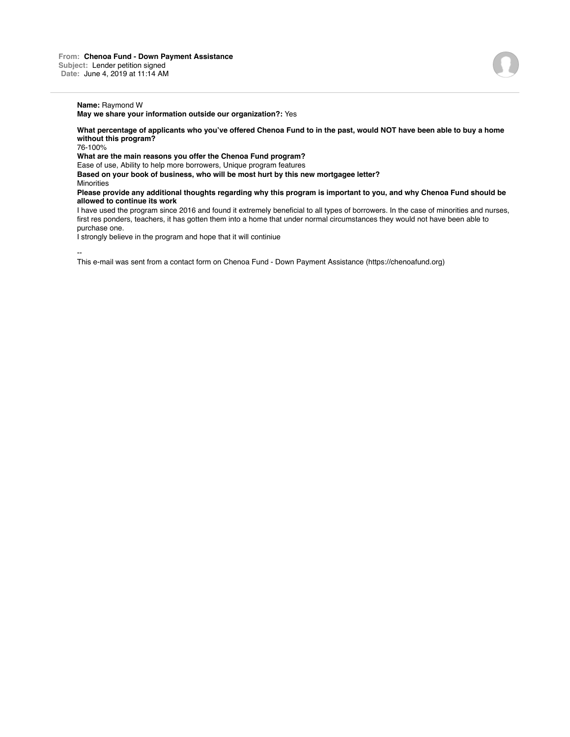**Name:** Raymond W

**May we share your information outside our organization?:** Yes

**What percentage of applicants who you've offered Chenoa Fund to in the past, would NOT have been able to buy a home without this program?**

76-100%

**What are the main reasons you offer the Chenoa Fund program?**

Ease of use, Ability to help more borrowers, Unique program features **Based on your book of business, who will be most hurt by this new mortgagee letter?**

**Minorities** 

**Please provide any additional thoughts regarding why this program is important to you, and why Chenoa Fund should be allowed to continue its work**

I have used the program since 2016 and found it extremely beneficial to all types of borrowers. In the case of minorities and nurses, first res ponders, teachers, it has gotten them into a home that under normal circumstances they would not have been able to purchase one.

I strongly believe in the program and hope that it will continiue

--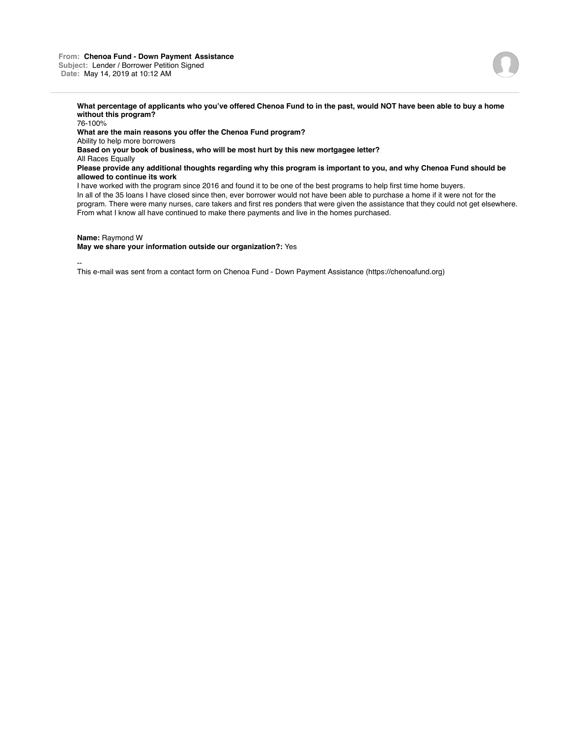#### **From: Chenoa Fund - Down Payment Assistance Subject:** Lender / Borrower Petition Signed **Date:** May 14, 2019 at 10:12 AM



**What percentage of applicants who you've offered Chenoa Fund to in the past, would NOT have been able to buy a home without this program?**

76-100% **What are the main reasons you offer the Chenoa Fund program?** Ability to help more borrowers **Based on your book of business, who will be most hurt by this new mortgagee letter?** All Races Equally **Please provide any additional thoughts regarding why this program is important to you, and why Chenoa Fund should be allowed to continue its work** I have worked with the program since 2016 and found it to be one of the best programs to help first time home buyers. In all of the 35 loans I have closed since then, ever borrower would not have been able to purchase a home if it were not for the program. There were many nurses, care takers and first res ponders that were given the assistance that they could not get elsewhere. From what I know all have continued to make there payments and live in the homes purchased.

#### **Name:** Raymond W

## **May we share your information outside our organization?:** Yes

--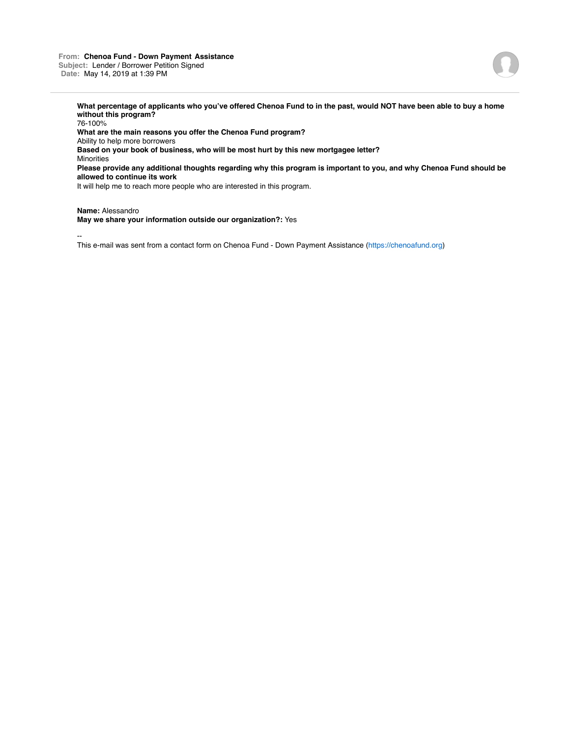### **From: Chenoa Fund - Down Payment Assistance Subject:** Lender / Borrower Petition Signed **Date:** May 14, 2019 at 1:39 PM



**What percentage of applicants who you've offered Chenoa Fund to in the past, would NOT have been able to buy a home without this program?**

76-100% **What are the main reasons you offer the Chenoa Fund program?** Ability to help more borrowers **Based on your book of business, who will be most hurt by this new mortgagee letter? Minorities Please provide any additional thoughts regarding why this program is important to you, and why Chenoa Fund should be allowed to continue its work**

It will help me to reach more people who are interested in this program.

**Name:** Alessandro

**May we share your information outside our organization?:** Yes

--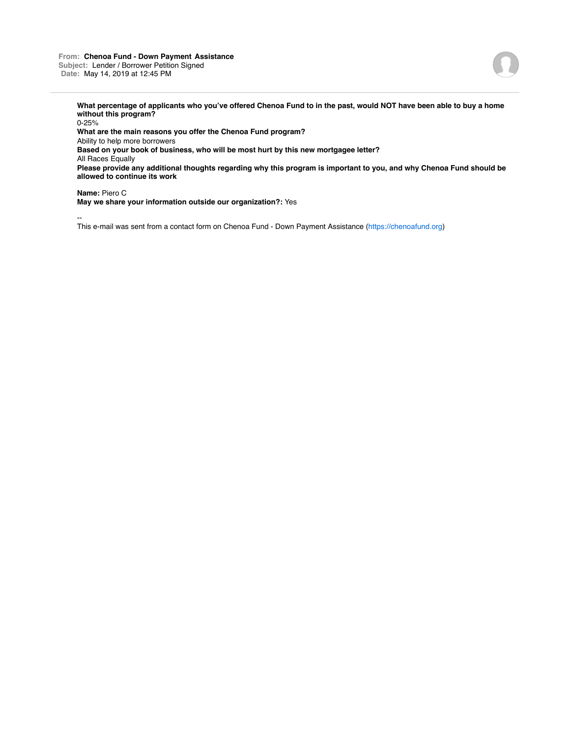### **From: Chenoa Fund - Down Payment Assistance Subject:** Lender / Borrower Petition Signed **Date:** May 14, 2019 at 12:45 PM



**What percentage of applicants who you've offered Chenoa Fund to in the past, would NOT have been able to buy a home without this program?**

0-25% **What are the main reasons you offer the Chenoa Fund program?** Ability to help more borrowers **Based on your book of business, who will be most hurt by this new mortgagee letter?** All Races Equally **Please provide any additional thoughts regarding why this program is important to you, and why Chenoa Fund should be allowed to continue its work**

**Name:** Piero C

**May we share your information outside our organization?:** Yes

--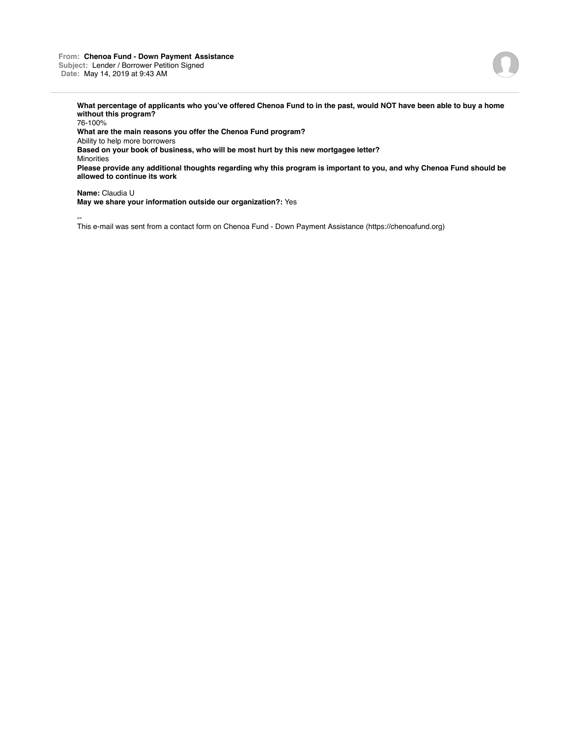### **From: Chenoa Fund - Down Payment Assistance Subject:** Lender / Borrower Petition Signed **Date:** May 14, 2019 at 9:43 AM



**What percentage of applicants who you've offered Chenoa Fund to in the past, would NOT have been able to buy a home without this program?**

76-100% **What are the main reasons you offer the Chenoa Fund program?** Ability to help more borrowers **Based on your book of business, who will be most hurt by this new mortgagee letter?** Minorities **Please provide any additional thoughts regarding why this program is important to you, and why Chenoa Fund should be allowed to continue its work**

**Name:** Claudia U

**May we share your information outside our organization?:** Yes

--